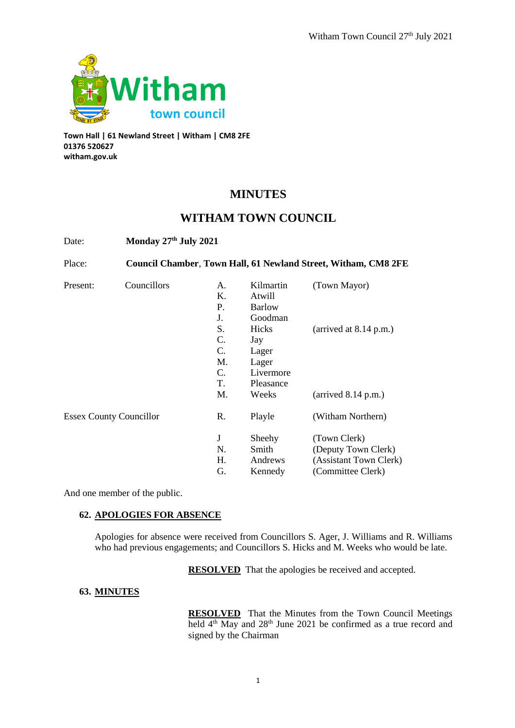

**Town Hall | 61 Newland Street | Witham | CM8 2FE 01376 520627 witham.gov.uk**

# **MINUTES**

# **WITHAM TOWN COUNCIL**

Date: **Monday 27th July 2021** 

Place: **Council Chamber**, **Town Hall, 61 Newland Street, Witham, CM8 2FE** Present: Councillors A. Kilmartin (Town Mayor) K. Atwill P. Barlow J. Goodman S. Hicks (arrived at 8.14 p.m.) C. Jay C. Lager M. Lager C. Livermore T. Pleasance M. Weeks (arrived 8.14 p.m.) Essex County Councillor R. Playle (Witham Northern) J Sheehy (Town Clerk) N. Smith (Deputy Town Clerk) H. Andrews (Assistant Town Clerk) G. Kennedy (Committee Clerk)

And one member of the public.

# **62. APOLOGIES FOR ABSENCE**

Apologies for absence were received from Councillors S. Ager, J. Williams and R. Williams who had previous engagements; and Councillors S. Hicks and M. Weeks who would be late.

**RESOLVED** That the apologies be received and accepted.

# **63. MINUTES**

**RESOLVED** That the Minutes from the Town Council Meetings held 4<sup>th</sup> May and 28<sup>th</sup> June 2021 be confirmed as a true record and signed by the Chairman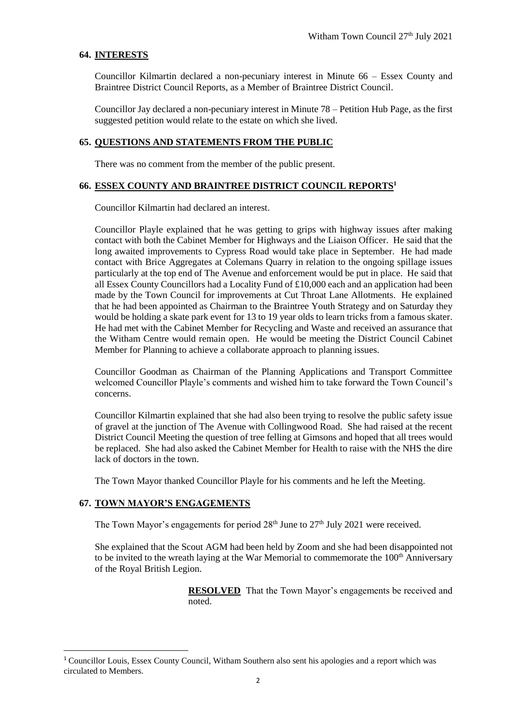#### **64. INTERESTS**

Councillor Kilmartin declared a non-pecuniary interest in Minute 66 – Essex County and Braintree District Council Reports, as a Member of Braintree District Council.

Councillor Jay declared a non-pecuniary interest in Minute 78 – Petition Hub Page, as the first suggested petition would relate to the estate on which she lived.

#### **65. QUESTIONS AND STATEMENTS FROM THE PUBLIC**

There was no comment from the member of the public present.

#### **66. ESSEX COUNTY AND BRAINTREE DISTRICT COUNCIL REPORTS<sup>1</sup>**

Councillor Kilmartin had declared an interest.

Councillor Playle explained that he was getting to grips with highway issues after making contact with both the Cabinet Member for Highways and the Liaison Officer. He said that the long awaited improvements to Cypress Road would take place in September. He had made contact with Brice Aggregates at Colemans Quarry in relation to the ongoing spillage issues particularly at the top end of The Avenue and enforcement would be put in place. He said that all Essex County Councillors had a Locality Fund of £10,000 each and an application had been made by the Town Council for improvements at Cut Throat Lane Allotments. He explained that he had been appointed as Chairman to the Braintree Youth Strategy and on Saturday they would be holding a skate park event for 13 to 19 year olds to learn tricks from a famous skater. He had met with the Cabinet Member for Recycling and Waste and received an assurance that the Witham Centre would remain open. He would be meeting the District Council Cabinet Member for Planning to achieve a collaborate approach to planning issues.

Councillor Goodman as Chairman of the Planning Applications and Transport Committee welcomed Councillor Playle's comments and wished him to take forward the Town Council's concerns.

Councillor Kilmartin explained that she had also been trying to resolve the public safety issue of gravel at the junction of The Avenue with Collingwood Road. She had raised at the recent District Council Meeting the question of tree felling at Gimsons and hoped that all trees would be replaced. She had also asked the Cabinet Member for Health to raise with the NHS the dire lack of doctors in the town.

The Town Mayor thanked Councillor Playle for his comments and he left the Meeting.

#### **67. TOWN MAYOR'S ENGAGEMENTS**

 $\overline{a}$ 

The Town Mayor's engagements for period  $28<sup>th</sup>$  June to  $27<sup>th</sup>$  July 2021 were received.

She explained that the Scout AGM had been held by Zoom and she had been disappointed not to be invited to the wreath laying at the War Memorial to commemorate the  $100<sup>th</sup>$  Anniversary of the Royal British Legion.

> **RESOLVED** That the Town Mayor's engagements be received and noted.

<sup>1</sup> Councillor Louis, Essex County Council, Witham Southern also sent his apologies and a report which was circulated to Members.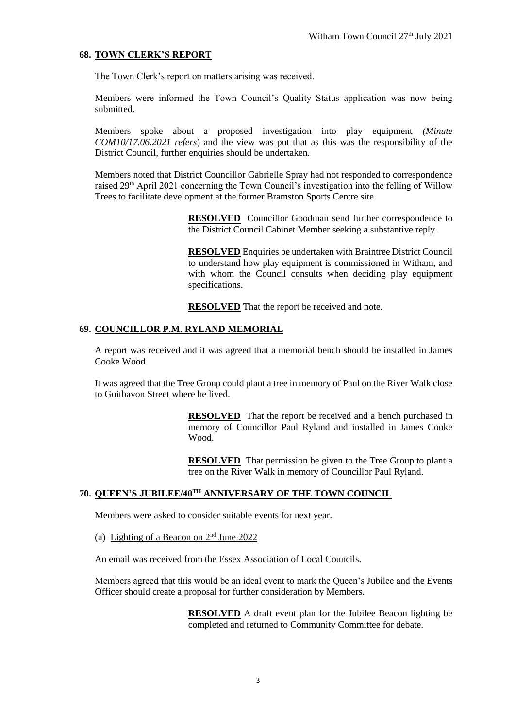## **68. TOWN CLERK'S REPORT**

The Town Clerk's report on matters arising was received.

Members were informed the Town Council's Quality Status application was now being submitted.

Members spoke about a proposed investigation into play equipment *(Minute COM10/17.06.2021 refers*) and the view was put that as this was the responsibility of the District Council, further enquiries should be undertaken.

Members noted that District Councillor Gabrielle Spray had not responded to correspondence raised 29th April 2021 concerning the Town Council's investigation into the felling of Willow Trees to facilitate development at the former Bramston Sports Centre site.

> **RESOLVED** Councillor Goodman send further correspondence to the District Council Cabinet Member seeking a substantive reply.

> **RESOLVED** Enquiries be undertaken with Braintree District Council to understand how play equipment is commissioned in Witham, and with whom the Council consults when deciding play equipment specifications.

**RESOLVED** That the report be received and note.

## **69. COUNCILLOR P.M. RYLAND MEMORIAL**

A report was received and it was agreed that a memorial bench should be installed in James Cooke Wood.

It was agreed that the Tree Group could plant a tree in memory of Paul on the River Walk close to Guithavon Street where he lived.

> **RESOLVED** That the report be received and a bench purchased in memory of Councillor Paul Ryland and installed in James Cooke Wood.

> **RESOLVED** That permission be given to the Tree Group to plant a tree on the River Walk in memory of Councillor Paul Ryland.

# **70. QUEEN'S JUBILEE/40TH ANNIVERSARY OF THE TOWN COUNCIL**

Members were asked to consider suitable events for next year.

(a) Lighting of a Beacon on  $2<sup>nd</sup>$  June 2022

An email was received from the Essex Association of Local Councils.

Members agreed that this would be an ideal event to mark the Queen's Jubilee and the Events Officer should create a proposal for further consideration by Members.

> **RESOLVED** A draft event plan for the Jubilee Beacon lighting be completed and returned to Community Committee for debate.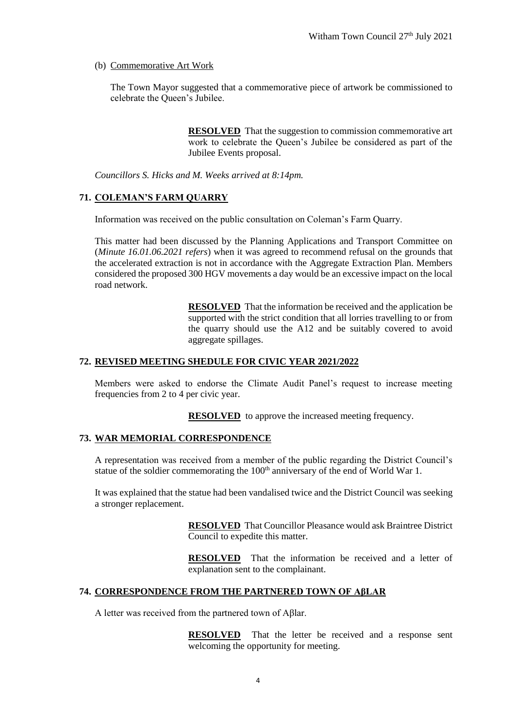# (b) Commemorative Art Work

The Town Mayor suggested that a commemorative piece of artwork be commissioned to celebrate the Queen's Jubilee.

> **RESOLVED** That the suggestion to commission commemorative art work to celebrate the Queen's Jubilee be considered as part of the Jubilee Events proposal.

*Councillors S. Hicks and M. Weeks arrived at 8:14pm.*

# **71. COLEMAN'S FARM QUARRY**

Information was received on the public consultation on Coleman's Farm Quarry.

This matter had been discussed by the Planning Applications and Transport Committee on (*Minute 16.01.06.2021 refers*) when it was agreed to recommend refusal on the grounds that the accelerated extraction is not in accordance with the Aggregate Extraction Plan. Members considered the proposed 300 HGV movements a day would be an excessive impact on the local road network.

> **RESOLVED** That the information be received and the application be supported with the strict condition that all lorries travelling to or from the quarry should use the A12 and be suitably covered to avoid aggregate spillages.

## **72. REVISED MEETING SHEDULE FOR CIVIC YEAR 2021/2022**

Members were asked to endorse the Climate Audit Panel's request to increase meeting frequencies from 2 to 4 per civic year.

**RESOLVED** to approve the increased meeting frequency.

## **73. WAR MEMORIAL CORRESPONDENCE**

A representation was received from a member of the public regarding the District Council's statue of the soldier commemorating the 100<sup>th</sup> anniversary of the end of World War 1.

It was explained that the statue had been vandalised twice and the District Council was seeking a stronger replacement.

> **RESOLVED** That Councillor Pleasance would ask Braintree District Council to expedite this matter.

> **RESOLVED** That the information be received and a letter of explanation sent to the complainant.

# **74. CORRESPONDENCE FROM THE PARTNERED TOWN OF AβLAR**

A letter was received from the partnered town of Aβlar.

**RESOLVED** That the letter be received and a response sent welcoming the opportunity for meeting.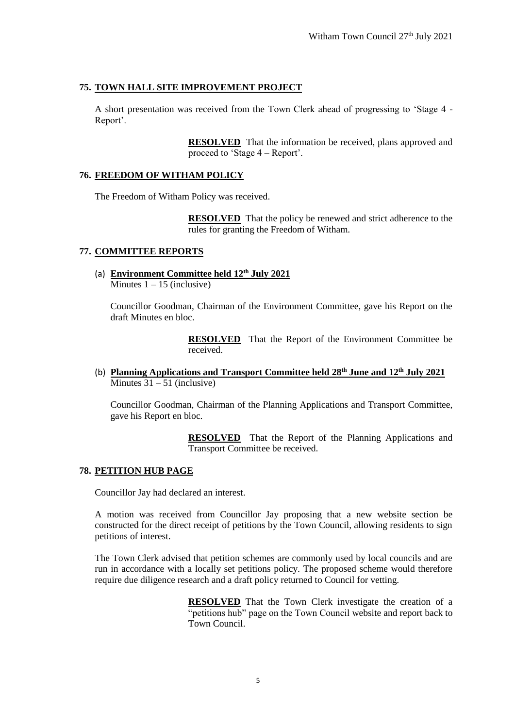# **75. TOWN HALL SITE IMPROVEMENT PROJECT**

A short presentation was received from the Town Clerk ahead of progressing to 'Stage 4 - Report'.

> **RESOLVED** That the information be received, plans approved and proceed to 'Stage 4 – Report'.

# **76. FREEDOM OF WITHAM POLICY**

The Freedom of Witham Policy was received.

**RESOLVED** That the policy be renewed and strict adherence to the rules for granting the Freedom of Witham.

## **77. COMMITTEE REPORTS**

(a) **Environment Committee held 12th July 2021** Minutes  $1 - 15$  (inclusive)

Councillor Goodman, Chairman of the Environment Committee, gave his Report on the draft Minutes en bloc.

> **RESOLVED** That the Report of the Environment Committee be received.

(b) **Planning Applications and Transport Committee held 28th June and 12th July 2021** Minutes  $31 - 51$  (inclusive)

Councillor Goodman, Chairman of the Planning Applications and Transport Committee, gave his Report en bloc.

> **RESOLVED** That the Report of the Planning Applications and Transport Committee be received.

## **78. PETITION HUB PAGE**

Councillor Jay had declared an interest.

A motion was received from Councillor Jay proposing that a new website section be constructed for the direct receipt of petitions by the Town Council, allowing residents to sign petitions of interest.

The Town Clerk advised that petition schemes are commonly used by local councils and are run in accordance with a locally set petitions policy. The proposed scheme would therefore require due diligence research and a draft policy returned to Council for vetting.

> **RESOLVED** That the Town Clerk investigate the creation of a "petitions hub" page on the Town Council website and report back to Town Council.